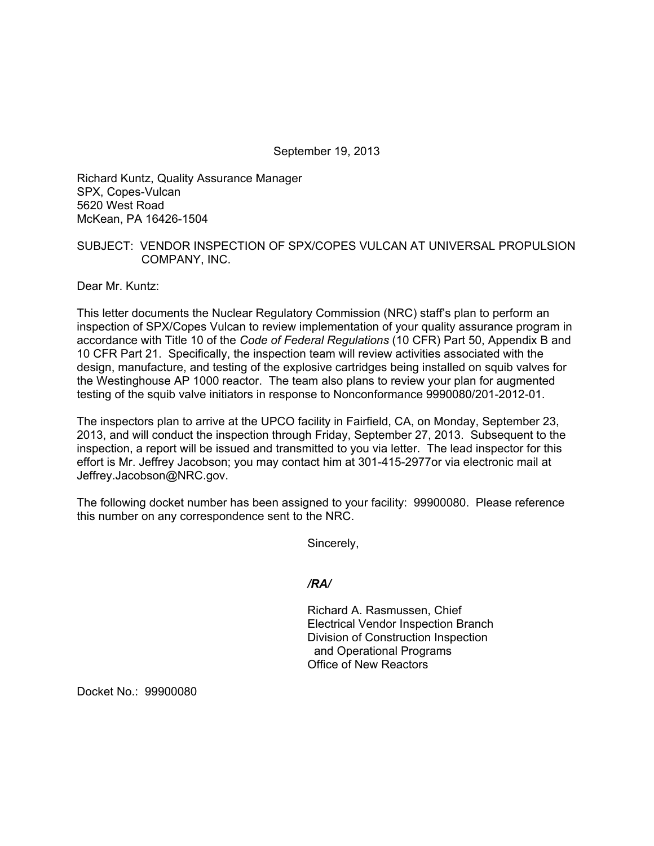September 19, 2013

Richard Kuntz, Quality Assurance Manager SPX, Copes-Vulcan 5620 West Road McKean, PA 16426-1504

## SUBJECT: VENDOR INSPECTION OF SPX/COPES VULCAN AT UNIVERSAL PROPULSION COMPANY, INC.

Dear Mr. Kuntz:

This letter documents the Nuclear Regulatory Commission (NRC) staff's plan to perform an inspection of SPX/Copes Vulcan to review implementation of your quality assurance program in accordance with Title 10 of the *Code of Federal Regulations* (10 CFR) Part 50, Appendix B and 10 CFR Part 21. Specifically, the inspection team will review activities associated with the design, manufacture, and testing of the explosive cartridges being installed on squib valves for the Westinghouse AP 1000 reactor. The team also plans to review your plan for augmented testing of the squib valve initiators in response to Nonconformance 9990080/201-2012-01.

The inspectors plan to arrive at the UPCO facility in Fairfield, CA, on Monday, September 23, 2013, and will conduct the inspection through Friday, September 27, 2013. Subsequent to the inspection, a report will be issued and transmitted to you via letter. The lead inspector for this effort is Mr. Jeffrey Jacobson; you may contact him at 301-415-2977or via electronic mail at Jeffrey.Jacobson@NRC.gov.

The following docket number has been assigned to your facility: 99900080. Please reference this number on any correspondence sent to the NRC.

Sincerely,

*/RA/* 

Richard A. Rasmussen, Chief Electrical Vendor Inspection Branch Division of Construction Inspection and Operational Programs Office of New Reactors

Docket No.: 99900080